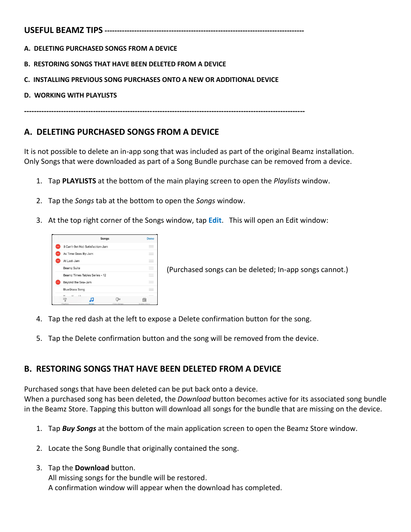**A. DELETING PURCHASED SONGS FROM A DEVICE**

- **B. RESTORING SONGS THAT HAVE BEEN DELETED FROM A DEVICE**
- **C. INSTALLING PREVIOUS SONG PURCHASES ONTO A NEW OR ADDITIONAL DEVICE**
- **D. WORKING WITH PLAYLISTS**

**------------------------------------------------------------------------------------------------------------------**

## **A. DELETING PURCHASED SONGS FROM A DEVICE**

It is not possible to delete an in-app song that was included as part of the original Beamz installation. Only Songs that were downloaded as part of a Song Bundle purchase can be removed from a device.

- 1. Tap **PLAYLISTS** at the bottom of the main playing screen to open the *Playlists* window.
- 2. Tap the *Songs* tab at the bottom to open the *Songs* window.
- 3. At the top right corner of the Songs window, tap **Edit**. This will open an Edit window:



 $E_{\text{Bern}z\text{ finite}}$   $E_{\text{other}z\text{ Tdbles} \text{ Series} - 12}$  (Purchased songs can be deleted; In-app songs cannot.)

- 4. Tap the red dash at the left to expose a Delete confirmation button for the song.
- 5. Tap the Delete confirmation button and the song will be removed from the device.

# **B. RESTORING SONGS THAT HAVE BEEN DELETED FROM A DEVICE**

Purchased songs that have been deleted can be put back onto a device. When a purchased song has been deleted, the *Download* button becomes active for its associated song bundle in the Beamz Store. Tapping this button will download all songs for the bundle that are missing on the device.

- 1. Tap *Buy Songs* at the bottom of the main application screen to open the Beamz Store window.
- 2. Locate the Song Bundle that originally contained the song.
- 3. Tap the **Download** button.

All missing songs for the bundle will be restored. A confirmation window will appear when the download has completed.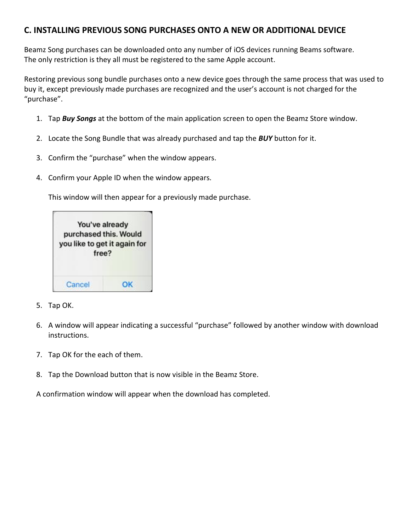## **C. INSTALLING PREVIOUS SONG PURCHASES ONTO A NEW OR ADDITIONAL DEVICE**

Beamz Song purchases can be downloaded onto any number of iOS devices running Beams software. The only restriction is they all must be registered to the same Apple account.

Restoring previous song bundle purchases onto a new device goes through the same process that was used to buy it, except previously made purchases are recognized and the user's account is not charged for the "purchase".

- 1. Tap *Buy Songs* at the bottom of the main application screen to open the Beamz Store window.
- 2. Locate the Song Bundle that was already purchased and tap the *BUY* button for it.
- 3. Confirm the "purchase" when the window appears.
- 4. Confirm your Apple ID when the window appears.

This window will then appear for a previously made purchase.

| purchased this. Would<br>you like to get it again for<br>free? | You've already |
|----------------------------------------------------------------|----------------|
|                                                                |                |

- 5. Tap OK.
- 6. A window will appear indicating a successful "purchase" followed by another window with download instructions.
- 7. Tap OK for the each of them.
- 8. Tap the Download button that is now visible in the Beamz Store.

A confirmation window will appear when the download has completed.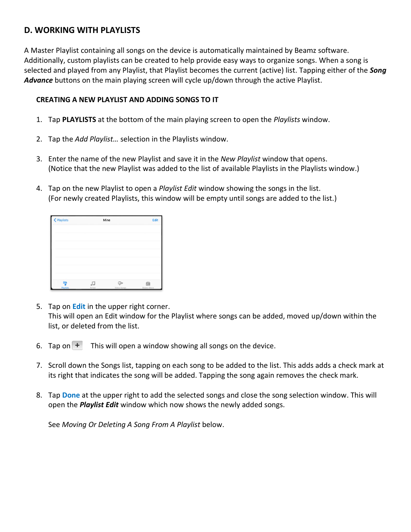## **D. WORKING WITH PLAYLISTS**

A Master Playlist containing all songs on the device is automatically maintained by Beamz software. Additionally, custom playlists can be created to help provide easy ways to organize songs. When a song is selected and played from any Playlist, that Playlist becomes the current (active) list. Tapping either of the *Song Advance* buttons on the main playing screen will cycle up/down through the active Playlist.

### **CREATING A NEW PLAYLIST AND ADDING SONGS TO IT**

- 1. Tap **PLAYLISTS** at the bottom of the main playing screen to open the *Playlists* window.
- 2. Tap the *Add Playlist…* selection in the Playlists window.
- 3. Enter the name of the new Playlist and save it in the *New Playlist* window that opens. (Notice that the new Playlist was added to the list of available Playlists in the Playlists window.)
- 4. Tap on the new Playlist to open a *Playlist Edit* window showing the songs in the list. (For newly created Playlists, this window will be empty until songs are added to the list.)

| < Playlists    | Mine       |             | Edit             |  |
|----------------|------------|-------------|------------------|--|
|                |            |             |                  |  |
|                |            |             |                  |  |
|                |            |             |                  |  |
|                |            |             |                  |  |
|                |            |             |                  |  |
|                |            |             |                  |  |
| 파<br>Playfists | 刀<br>Songs | Video Songs | 曲<br>Beamz Store |  |

- 5. Tap on **Edit** in the upper right corner. This will open an Edit window for the Playlist where songs can be added, moved up/down within the list, or deleted from the list.
- 6. Tap on  $\pm$  This will open a window showing all songs on the device.
- 7. Scroll down the Songs list, tapping on each song to be added to the list. This adds adds a check mark at its right that indicates the song will be added. Tapping the song again removes the check mark.
- 8. Tap **Done** at the upper right to add the selected songs and close the song selection window. This will open the *Playlist Edit* window which now shows the newly added songs.

See *Moving Or Deleting A Song From A Playlist* below.